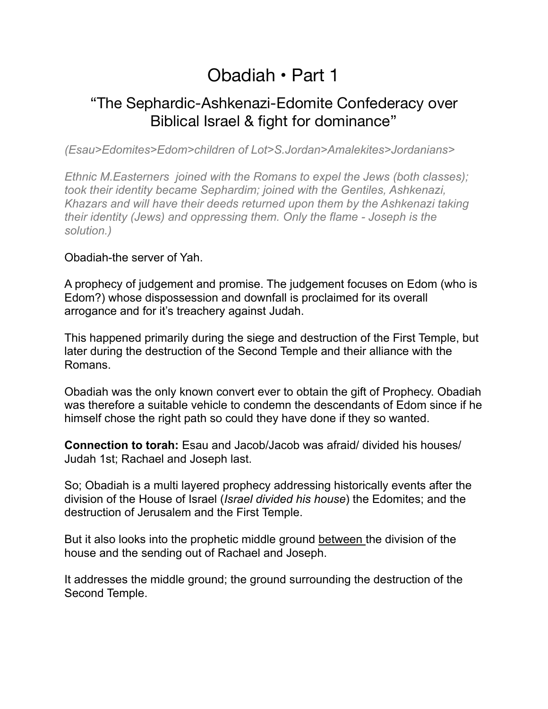# Obadiah • Part 1

# "The Sephardic-Ashkenazi-Edomite Confederacy over Biblical Israel & fight for dominance"

*(Esau>Edomites>Edom>children of Lot>S.Jordan>Amalekites>Jordanians>* 

*Ethnic M.Easterners joined with the Romans to expel the Jews (both classes); took their identity became Sephardim; joined with the Gentiles, Ashkenazi, Khazars and will have their deeds returned upon them by the Ashkenazi taking their identity (Jews) and oppressing them. Only the flame - Joseph is the solution.)* 

## Obadiah-the server of Yah.

A prophecy of judgement and promise. The judgement focuses on Edom (who is Edom?) whose dispossession and downfall is proclaimed for its overall arrogance and for it's treachery against Judah.

This happened primarily during the siege and destruction of the First Temple, but later during the destruction of the Second Temple and their alliance with the Romans.

Obadiah was the only known convert ever to obtain the gift of Prophecy. Obadiah was therefore a suitable vehicle to condemn the descendants of Edom since if he himself chose the right path so could they have done if they so wanted.

**Connection to torah:** Esau and Jacob/Jacob was afraid/ divided his houses/ Judah 1st; Rachael and Joseph last.

So; Obadiah is a multi layered prophecy addressing historically events after the division of the House of Israel (*Israel divided his house*) the Edomites; and the destruction of Jerusalem and the First Temple.

But it also looks into the prophetic middle ground between the division of the house and the sending out of Rachael and Joseph.

It addresses the middle ground; the ground surrounding the destruction of the Second Temple.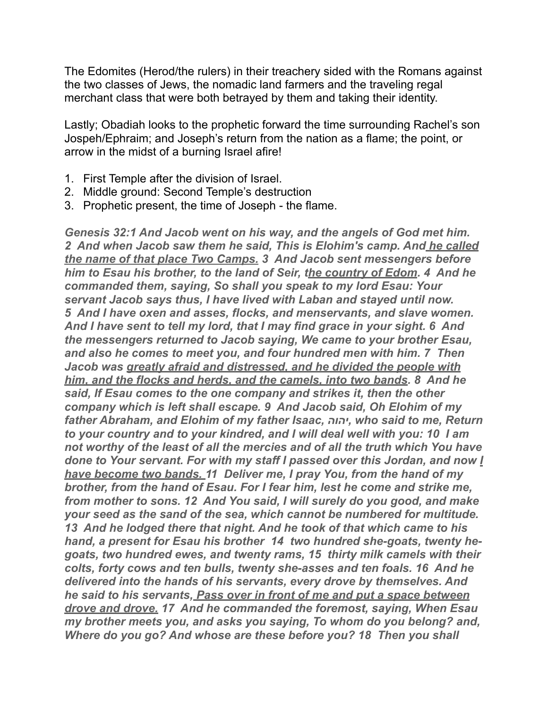The Edomites (Herod/the rulers) in their treachery sided with the Romans against the two classes of Jews, the nomadic land farmers and the traveling regal merchant class that were both betrayed by them and taking their identity.

Lastly; Obadiah looks to the prophetic forward the time surrounding Rachel's son Jospeh/Ephraim; and Joseph's return from the nation as a flame; the point, or arrow in the midst of a burning Israel afire!

- 1. First Temple after the division of Israel.
- 2. Middle ground: Second Temple's destruction
- 3. Prophetic present, the time of Joseph the flame.

*Genesis 32:1 And Jacob went on his way, and the angels of God met him. 2 And when Jacob saw them he said, This is Elohim's camp. And he called the name of that place Two Camps. 3 And Jacob sent messengers before him to Esau his brother, to the land of Seir, the country of Edom. 4 And he commanded them, saying, So shall you speak to my lord Esau: Your servant Jacob says thus, I have lived with Laban and stayed until now. 5 And I have oxen and asses, flocks, and menservants, and slave women. And I have sent to tell my lord, that I may find grace in your sight. 6 And the messengers returned to Jacob saying, We came to your brother Esau, and also he comes to meet you, and four hundred men with him. 7 Then Jacob was greatly afraid and distressed, and he divided the people with him, and the flocks and herds, and the camels, into two bands. 8 And he said, If Esau comes to the one company and strikes it, then the other company which is left shall escape. 9 And Jacob said, Oh Elohim of my father Abraham, and Elohim of my father Isaac, יהוה, who said to me, Return to your country and to your kindred, and I will deal well with you: 10 I am not worthy of the least of all the mercies and of all the truth which You have done to Your servant. For with my staff I passed over this Jordan, and now I have become two bands. 11 Deliver me, I pray You, from the hand of my brother, from the hand of Esau. For I fear him, lest he come and strike me, from mother to sons. 12 And You said, I will surely do you good, and make your seed as the sand of the sea, which cannot be numbered for multitude. 13 And he lodged there that night. And he took of that which came to his hand, a present for Esau his brother 14 two hundred she-goats, twenty hegoats, two hundred ewes, and twenty rams, 15 thirty milk camels with their colts, forty cows and ten bulls, twenty she-asses and ten foals. 16 And he delivered into the hands of his servants, every drove by themselves. And he said to his servants, Pass over in front of me and put a space between drove and drove. 17 And he commanded the foremost, saying, When Esau my brother meets you, and asks you saying, To whom do you belong? and, Where do you go? And whose are these before you? 18 Then you shall*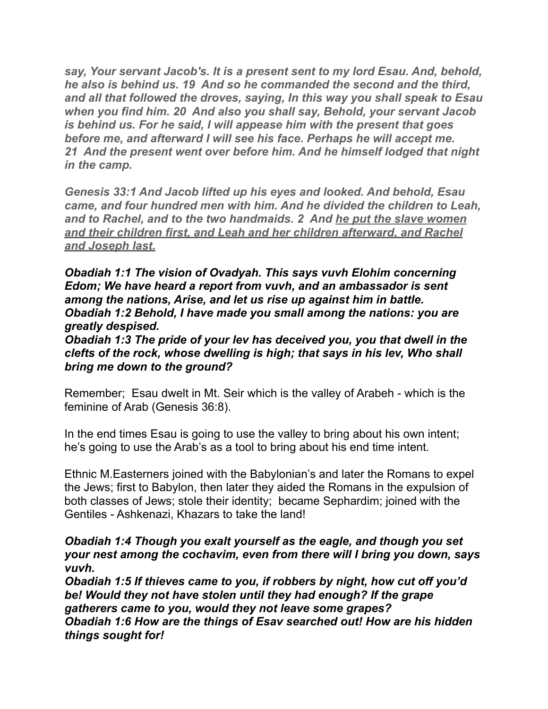*say, Your servant Jacob's. It is a present sent to my lord Esau. And, behold, he also is behind us. 19 And so he commanded the second and the third, and all that followed the droves, saying, In this way you shall speak to Esau when you find him. 20 And also you shall say, Behold, your servant Jacob is behind us. For he said, I will appease him with the present that goes before me, and afterward I will see his face. Perhaps he will accept me. 21 And the present went over before him. And he himself lodged that night in the camp.*

*Genesis 33:1 And Jacob lifted up his eyes and looked. And behold, Esau came, and four hundred men with him. And he divided the children to Leah, and to Rachel, and to the two handmaids. 2 And he put the slave women and their children first, and Leah and her children afterward, and Rachel and Joseph last.*

*Obadiah 1:1 The vision of Ovadyah. This says vuvh Elohim concerning Edom; We have heard a report from vuvh, and an ambassador is sent among the nations, Arise, and let us rise up against him in battle. Obadiah 1:2 Behold, I have made you small among the nations: you are greatly despised.* 

*Obadiah 1:3 The pride of your lev has deceived you, you that dwell in the clefts of the rock, whose dwelling is high; that says in his lev, Who shall bring me down to the ground?*

Remember; Esau dwelt in Mt. Seir which is the valley of Arabeh - which is the feminine of Arab (Genesis 36:8).

In the end times Esau is going to use the valley to bring about his own intent; he's going to use the Arab's as a tool to bring about his end time intent.

Ethnic M.Easterners joined with the Babylonian's and later the Romans to expel the Jews; first to Babylon, then later they aided the Romans in the expulsion of both classes of Jews; stole their identity; became Sephardim; joined with the Gentiles - Ashkenazi, Khazars to take the land!

#### *Obadiah 1:4 Though you exalt yourself as the eagle, and though you set your nest among the cochavim, even from there will I bring you down, says vuvh.*

*Obadiah 1:5 If thieves came to you, if robbers by night, how cut off you'd be! Would they not have stolen until they had enough? If the grape gatherers came to you, would they not leave some grapes? Obadiah 1:6 How are the things of Esav searched out! How are his hidden things sought for!*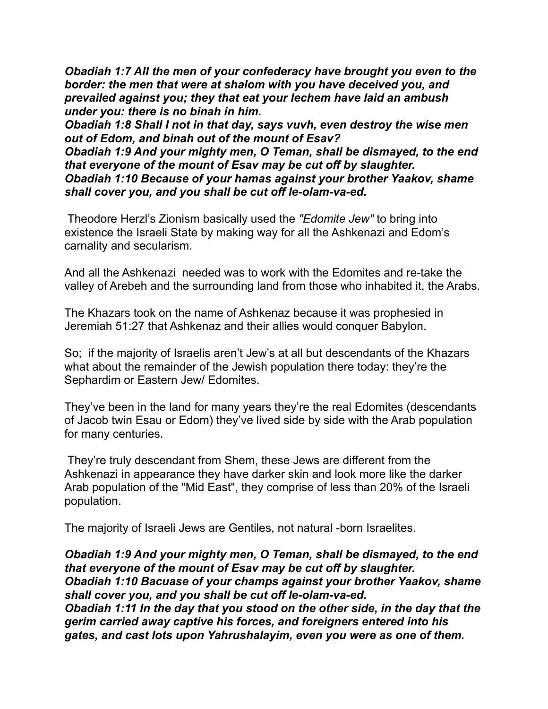*Obadiah 1:7 All the men of your confederacy have brought you even to the border: the men that were at shalom with you have deceived you, and prevailed against you; they that eat your lechem have laid an ambush under you: there is no binah in him.*

*Obadiah 1:8 Shall I not in that day, says vuvh, even destroy the wise men out of Edom, and binah out of the mount of Esav?*

*Obadiah 1:9 And your mighty men, O Teman, shall be dismayed, to the end that everyone of the mount of Esav may be cut off by slaughter. Obadiah 1:10 Because of your hamas against your brother Yaakov, shame shall cover you, and you shall be cut off le-olam-va-ed.*

 Theodore Herzl's Zionism basically used the *"Edomite Jew"* to bring into existence the Israeli State by making way for all the Ashkenazi and Edom's carnality and secularism.

And all the Ashkenazi needed was to work with the Edomites and re-take the valley of Arebeh and the surrounding land from those who inhabited it, the Arabs.

The Khazars took on the name of Ashkenaz because it was prophesied in Jeremiah 51:27 that Ashkenaz and their allies would conquer Babylon.

So; if the majority of Israelis aren't Jew's at all but descendants of the Khazars what about the remainder of the Jewish population there today: they're the Sephardim or Eastern Jew/ Edomites.

They've been in the land for many years they're the real Edomites (descendants of Jacob twin Esau or Edom) they've lived side by side with the Arab population for many centuries.

 They're truly descendant from Shem, these Jews are different from the Ashkenazi in appearance they have darker skin and look more like the darker Arab population of the "Mid East", they comprise of less than 20% of the Israeli population.

The majority of Israeli Jews are Gentiles, not natural -born Israelites.

*Obadiah 1:9 And your mighty men, O Teman, shall be dismayed, to the end that everyone of the mount of Esav may be cut off by slaughter. Obadiah 1:10 Bacuase of your champs against your brother Yaakov, shame shall cover you, and you shall be cut off le-olam-va-ed. Obadiah 1:11 In the day that you stood on the other side, in the day that the gerim carried away captive his forces, and foreigners entered into his gates, and cast lots upon Yahrushalayim, even you were as one of them.*